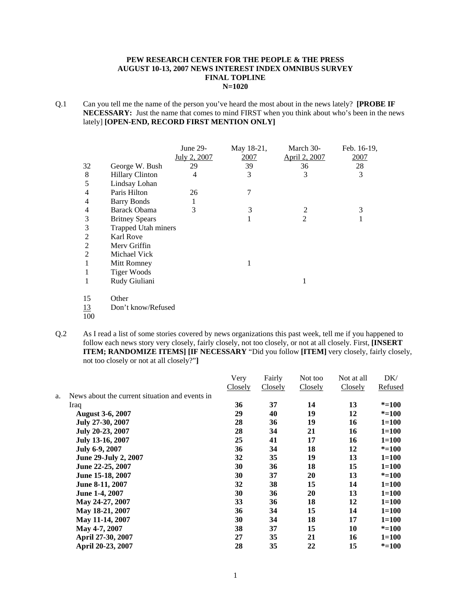#### **PEW RESEARCH CENTER FOR THE PEOPLE & THE PRESS AUGUST 10-13, 2007 NEWS INTEREST INDEX OMNIBUS SURVEY FINAL TOPLINE N=1020**

Q.1 Can you tell me the name of the person you've heard the most about in the news lately? **[PROBE IF NECESSARY:** Just the name that comes to mind FIRST when you think about who's been in the news lately] **[OPEN-END, RECORD FIRST MENTION ONLY]** 

|                |                            | June 29-     | May 18-21, | March 30-      | Feb. 16-19, |
|----------------|----------------------------|--------------|------------|----------------|-------------|
|                |                            | July 2, 2007 | 2007       | April 2, 2007  | 2007        |
| 32             | George W. Bush             | 29           | 39         | 36             | 28          |
| 8              | <b>Hillary Clinton</b>     | 4            | 3          | 3              | 3           |
| 5              | Lindsay Lohan              |              |            |                |             |
| 4              | Paris Hilton               | 26           | 7          |                |             |
| 4              | <b>Barry Bonds</b>         |              |            |                |             |
| 4              | Barack Obama               | 3            | 3          | $\overline{2}$ | 3           |
| 3              | <b>Britney Spears</b>      |              | 1          | $\overline{2}$ | 1           |
| 3              | <b>Trapped Utah miners</b> |              |            |                |             |
| 2              | <b>Karl Rove</b>           |              |            |                |             |
| $\overline{2}$ | Mery Griffin               |              |            |                |             |
| $\overline{2}$ | Michael Vick               |              |            |                |             |
| 1              | Mitt Romney                |              | 1          |                |             |
| 1              | <b>Tiger Woods</b>         |              |            |                |             |
| 1              | Rudy Giuliani              |              |            | 1              |             |
| 15             | Other                      |              |            |                |             |
| 13             | Don't know/Refused         |              |            |                |             |
| 100            |                            |              |            |                |             |

Q.2 As I read a list of some stories covered by news organizations this past week, tell me if you happened to follow each news story very closely, fairly closely, not too closely, or not at all closely. First, **[INSERT ITEM; RANDOMIZE ITEMS] [IF NECESSARY** "Did you follow **[ITEM]** very closely, fairly closely, not too closely or not at all closely?"**]**

| Very    | Fairly  | Not too | Not at all | DK/       |
|---------|---------|---------|------------|-----------|
| Closely | Closely | Closely | Closely    | Refused   |
|         |         |         |            |           |
| 36      | 37      | 14      | 13         | $* = 100$ |
| 29      | 40      | 19      | 12         | $* = 100$ |
| 28      | 36      | 19      | 16         | $1 = 100$ |
| 28      | 34      | 21      | 16         | $1 = 100$ |
| 25      | 41      | 17      | 16         | $1=100$   |
| 36      | 34      | 18      | 12         | $* = 100$ |
| 32      | 35      | 19      | 13         | $1 = 100$ |
| 30      | 36      | 18      | 15         | $1=100$   |
| 30      | 37      | 20      | 13         | $* = 100$ |
| 32      | 38      | 15      | 14         | $1 = 100$ |
| 30      | 36      | 20      | 13         | $1 = 100$ |
| 33      | 36      | 18      | 12         | $1 = 100$ |
| 36      | 34      | 15      | 14         | $1 = 100$ |
| 30      | 34      | 18      | 17         | $1 = 100$ |
| 38      | 37      | 15      | 10         | $* = 100$ |
| 27      | 35      | 21      | 16         | $1 = 100$ |
| 28      | 35      | 22      | 15         | $* = 100$ |
|         |         |         |            |           |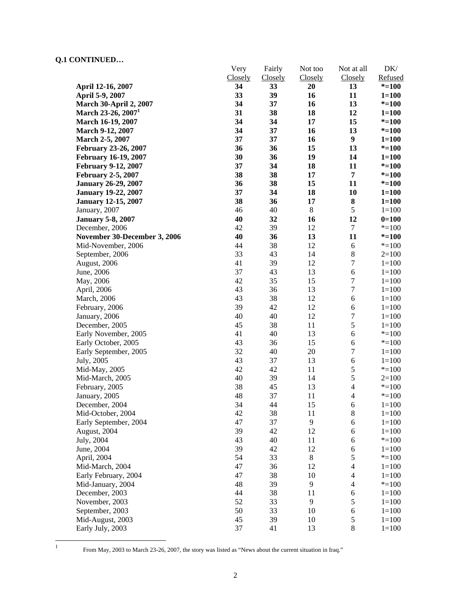| CORTHOLD                                |                 |                   |                    |                              |                        |
|-----------------------------------------|-----------------|-------------------|--------------------|------------------------------|------------------------|
|                                         | Very<br>Closely | Fairly<br>Closely | Not too<br>Closely | Not at all<br><b>Closely</b> | $DK/$<br>Refused       |
| April 12-16, 2007                       | 34              | 33                | 20                 | 13                           | $* = 100$              |
| April 5-9, 2007                         | 33              | 39                | 16                 | 11                           | $1 = 100$              |
| <b>March 30-April 2, 2007</b>           | 34              | 37                | 16                 | 13                           | $* = 100$              |
| March 23-26, 2007 <sup>1</sup>          | 31              | 38                | 18                 | 12                           | $1 = 100$              |
|                                         | 34              | 34                | 17                 | 15                           | $* = 100$              |
| March 16-19, 2007                       | 34              | 37                | 16                 | 13                           | $* = 100$              |
| March 9-12, 2007<br>March 2-5, 2007     | 37              | 37                | 16                 | $\boldsymbol{9}$             |                        |
| February 23-26, 2007                    | 36              | 36                | 15                 | 13                           | $1 = 100$<br>$* = 100$ |
| <b>February 16-19, 2007</b>             | 30              | 36                | 19                 | 14                           | $1 = 100$              |
| <b>February 9-12, 2007</b>              | 37              | 34                | 18                 | 11                           | $* = 100$              |
| <b>February 2-5, 2007</b>               | 38              | 38                | 17                 | $\overline{7}$               | $* = 100$              |
| <b>January 26-29, 2007</b>              | 36              | 38                | 15                 | 11                           | $* = 100$              |
| <b>January 19-22, 2007</b>              | 37              | 34                | 18                 | 10                           | $1 = 100$              |
| <b>January 12-15, 2007</b>              | 38              | 36                | 17                 | ${\bf 8}$                    | $1 = 100$              |
| January, 2007                           | 46              | 40                | $\,8\,$            | $\mathfrak s$                | $1 = 100$              |
|                                         | 40              | 32                | 16                 | 12                           | $0=100$                |
| <b>January 5-8, 2007</b>                | 42              | 39                | 12                 | $\boldsymbol{7}$             | $* = 100$              |
| December, 2006                          | 40              | 36                | 13                 | 11                           | $* = 100$              |
| November 30-December 3, 2006            | 44              | 38                | 12                 | $\sqrt{6}$                   |                        |
| Mid-November, 2006                      | 33              | 43                | 14                 | $8\,$                        | $* = 100$              |
| September, 2006                         | 41              | 39                | 12                 | $\boldsymbol{7}$             | $2=100$                |
| August, 2006<br>June, 2006              | 37              | 43                | 13                 | 6                            | $1 = 100$<br>$1 = 100$ |
|                                         | 42              | 35                | 15                 | $\boldsymbol{7}$             | $1 = 100$              |
| May, 2006                               | 43              | 36                | 13                 | $\overline{7}$               |                        |
| April, 2006                             | 43              | 38                | 12                 | 6                            | $1 = 100$              |
| March, 2006                             | 39              | 42                | 12                 |                              | $1 = 100$              |
| February, 2006                          |                 |                   |                    | 6<br>$\sqrt{ }$              | $1 = 100$              |
| January, 2006                           | 40              | 40<br>38          | 12                 | 5                            | $1 = 100$              |
| December, 2005                          | 45<br>41        | 40                | 11<br>13           | 6                            | $1 = 100$              |
| Early November, 2005                    | 43              | 36                | 15                 | 6                            | $* = 100$              |
| Early October, 2005                     | 32              | 40                | 20                 | $\boldsymbol{7}$             | $* = 100$              |
| Early September, 2005                   | 43              | 37                | 13                 | $\boldsymbol{6}$             | $1 = 100$              |
| July, 2005                              | 42              | 42                | 11                 | 5                            | $1 = 100$<br>$* = 100$ |
| Mid-May, 2005                           | 40              | 39                | 14                 | 5                            | $2=100$                |
| Mid-March, 2005                         | 38              | 45                | 13                 | $\overline{4}$               | $* = 100$              |
| February, 2005                          | 48              | 37                | 11                 | $\overline{4}$               | $* = 100$              |
| January, 2005<br>December, 2004         | 34              | 44                | 15                 | 6                            | $1 = 100$              |
| Mid-October, 2004                       | 42              | 38                |                    | 8                            | $1 = 100$              |
| Early September, 2004                   | 47              | 37                | 11<br>9            | 6                            | $1 = 100$              |
| August, 2004                            | 39              | 42                | 12                 | 6                            | $1=100$                |
| July, 2004                              | 43              | 40                | 11                 | 6                            | $* = 100$              |
|                                         | 39              | 42                | 12                 | 6                            |                        |
| June, 2004<br>April, 2004               | 54              | 33                | $8\,$              | 5                            | $1=100$<br>$* = 100$   |
|                                         | 47              | 36                | 12                 | $\overline{\mathcal{L}}$     |                        |
| Mid-March, 2004<br>Early February, 2004 | 47              | 38                |                    | $\overline{4}$               | $1=100$                |
|                                         | 48              | 39                | 10<br>9            | $\overline{\mathcal{L}}$     | $1 = 100$              |
| Mid-January, 2004                       | 44              | 38                | 11                 |                              | $* = 100$              |
| December, 2003                          |                 |                   |                    | 6                            | $1 = 100$              |
| November, 2003                          | 52<br>50        | 33                | 9                  | 5                            | $1=100$                |
| September, 2003                         | 45              | 33<br>39          | 10                 | 6<br>$\mathfrak s$           | $1 = 100$              |
| Mid-August, 2003                        |                 |                   | 10                 |                              | $1=100$                |
| Early July, 2003                        | 37              | 41                | 13                 | $\,$ 8 $\,$                  | $1 = 100$              |

 $\frac{1}{1}$ 

From May, 2003 to March 23-26, 2007, the story was listed as "News about the current situation in Iraq."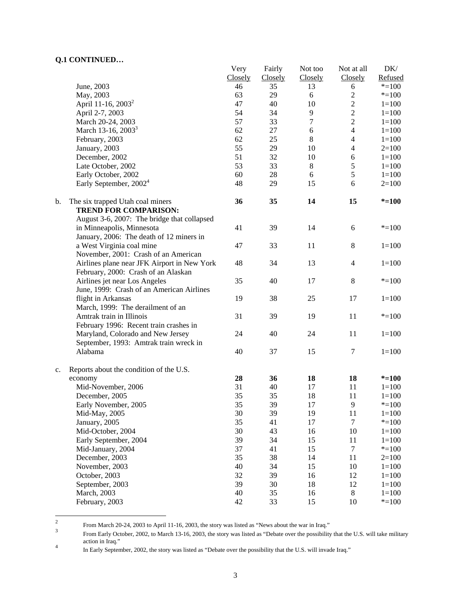|    |                                                                  | Very    | Fairly  | Not too          | Not at all       | DK/       |
|----|------------------------------------------------------------------|---------|---------|------------------|------------------|-----------|
|    |                                                                  | Closely | Closely | Closely          | Closely          | Refused   |
|    | June, 2003                                                       | 46      | 35      | 13               | 6                | $* = 100$ |
|    | May, 2003                                                        | 63      | 29      | 6                | $\overline{2}$   | $* = 100$ |
|    | April 11-16, 2003 <sup>2</sup>                                   | 47      | 40      | 10               | $\sqrt{2}$       | $1 = 100$ |
|    | April 2-7, 2003                                                  | 54      | 34      | 9                | $\overline{2}$   | $1 = 100$ |
|    | March 20-24, 2003                                                | 57      | 33      | $\boldsymbol{7}$ | $\overline{2}$   | $1 = 100$ |
|    | March 13-16, 2003 <sup>3</sup>                                   | 62      | 27      | $\sqrt{6}$       | $\overline{4}$   | $1 = 100$ |
|    | February, 2003                                                   | 62      | 25      | $8\,$            | $\overline{4}$   | $1 = 100$ |
|    | January, 2003                                                    | 55      | 29      | 10               | $\overline{4}$   | $2=100$   |
|    | December, 2002                                                   | 51      | 32      | 10               | $\sqrt{6}$       | $1 = 100$ |
|    | Late October, 2002                                               | 53      | 33      | 8                | $\sqrt{5}$       | $1 = 100$ |
|    | Early October, 2002                                              | 60      | 28      | 6                | $\sqrt{5}$       | $1 = 100$ |
|    | Early September, 2002 <sup>4</sup>                               | 48      | 29      | 15               | 6                | $2=100$   |
| b. | The six trapped Utah coal miners<br><b>TREND FOR COMPARISON:</b> | 36      | 35      | 14               | 15               | $* = 100$ |
|    | August 3-6, 2007: The bridge that collapsed                      |         |         |                  |                  |           |
|    | in Minneapolis, Minnesota                                        | 41      | 39      | 14               | 6                | $* = 100$ |
|    | January, 2006: The death of 12 miners in                         |         |         | 11               |                  |           |
|    | a West Virginia coal mine                                        | 47      | 33      |                  | $\,8\,$          | $1 = 100$ |
|    | November, 2001: Crash of an American                             |         |         |                  |                  |           |
|    | Airlines plane near JFK Airport in New York                      | 48      | 34      | 13               | $\overline{4}$   | $1 = 100$ |
|    | February, 2000: Crash of an Alaskan                              |         |         |                  |                  |           |
|    | Airlines jet near Los Angeles                                    | 35      | 40      | 17               | 8                | $* = 100$ |
|    | June, 1999: Crash of an American Airlines                        | 19      | 38      | 25               | 17               | $1 = 100$ |
|    | flight in Arkansas<br>March, 1999: The derailment of an          |         |         |                  |                  |           |
|    | Amtrak train in Illinois                                         | 31      | 39      | 19               | 11               | $* = 100$ |
|    | February 1996: Recent train crashes in                           |         |         |                  |                  |           |
|    |                                                                  |         | 40      |                  | 11               | $1 = 100$ |
|    | Maryland, Colorado and New Jersey                                | 24      |         | 24               |                  |           |
|    | September, 1993: Amtrak train wreck in                           | 40      | 37      | 15               | $\tau$           | $1 = 100$ |
|    | Alabama                                                          |         |         |                  |                  |           |
| c. | Reports about the condition of the U.S.                          |         |         |                  |                  |           |
|    | economy                                                          | 28      | 36      | 18               | 18               | $* = 100$ |
|    | Mid-November, 2006                                               | 31      | 40      | 17               | 11               | $1 = 100$ |
|    | December, 2005                                                   | 35      | 35      | 18               | 11               | $1 = 100$ |
|    | Early November, 2005                                             | 35      | 39      | 17               | 9                | $* = 100$ |
|    | Mid-May, 2005                                                    | 30      | 39      | 19               | 11               | $1 = 100$ |
|    | January, 2005                                                    | 35      | 41      | 17               | $\tau$           | $* = 100$ |
|    | Mid-October, 2004                                                | 30      | 43      | 16               | 10               | $1 = 100$ |
|    | Early September, 2004                                            | 39      | 34      | 15               | 11               | $1 = 100$ |
|    | Mid-January, 2004                                                | 37      | 41      | 15               | $\boldsymbol{7}$ | $* = 100$ |
|    | December, 2003                                                   | 35      | 38      | 14               | 11               | $2=100$   |
|    | November, 2003                                                   | 40      | 34      | 15               | 10               | $1 = 100$ |
|    | October, 2003                                                    | 32      | 39      | 16               | 12               | $1 = 100$ |
|    | September, 2003                                                  | 39      | 30      | 18               | 12               | $1 = 100$ |
|    | March, 2003                                                      | 40      | 35      | 16               | $\,8\,$          | $1 = 100$ |
|    | February, 2003                                                   | 42      | 33      | 15               | 10               | $* = 100$ |
|    |                                                                  |         |         |                  |                  |           |

 $\frac{1}{2}$ From March 20-24, 2003 to April 11-16, 2003, the story was listed as "News about the war in Iraq."

From Early October, 2002, to March 13-16, 2003, the story was listed as "Debate over the possibility that the U.S. will take military action in Iraq."

In Early September, 2002, the story was listed as "Debate over the possibility that the U.S. will invade Iraq."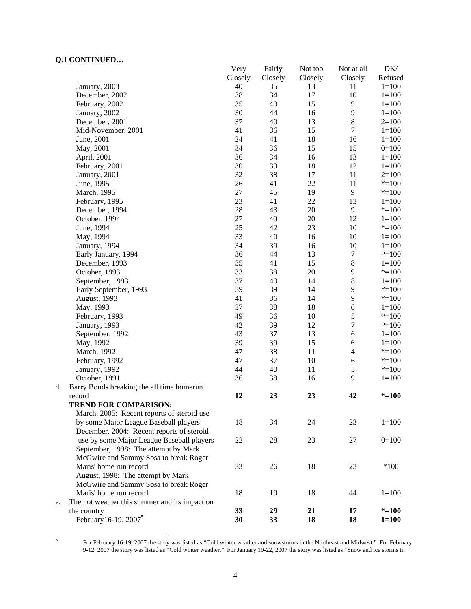|    |                                               | Very    | Fairly  | Not too | Not at all       | DK/       |
|----|-----------------------------------------------|---------|---------|---------|------------------|-----------|
|    |                                               | Closely | Closely | Closely | Closely          | Refused   |
|    | January, 2003                                 | 40      | 35      | 13      | 11               | $1 = 100$ |
|    | December, 2002                                | 38      | 34      | 17      | 10               | $1 = 100$ |
|    | February, 2002                                | 35      | 40      | 15      | $\mathbf{9}$     | $1 = 100$ |
|    | January, 2002                                 | 30      | 44      | 16      | 9                | $1 = 100$ |
|    | December, 2001                                | 37      | 40      | 13      | $8\,$            | $2=100$   |
|    | Mid-November, 2001                            | 41      | 36      | 15      | $\boldsymbol{7}$ | $1 = 100$ |
|    | June, 2001                                    | 24      | 41      | 18      | 16               | $1 = 100$ |
|    | May, 2001                                     | 34      | 36      | 15      | 15               | $0=100$   |
|    | April, 2001                                   | 36      | 34      | 16      | 13               | $1 = 100$ |
|    | February, 2001                                | 30      | 39      | 18      | 12               | $1 = 100$ |
|    | January, 2001                                 | 32      | 38      | 17      | 11               | $2=100$   |
|    | June, 1995                                    | 26      | 41      | 22      | 11               | $*=100$   |
|    | March, 1995                                   | 27      | 45      | 19      | 9                | $* = 100$ |
|    | February, 1995                                | 23      | 41      | 22      | 13               | $1=100$   |
|    | December, 1994                                | 28      | 43      | 20      | 9                | $* = 100$ |
|    | October, 1994                                 | 27      | 40      | 20      | 12               | $1 = 100$ |
|    | June, 1994                                    | 25      | 42      | 23      | $10\,$           | $* = 100$ |
|    | May, 1994                                     | 33      | 40      | 16      | $10\,$           | $1 = 100$ |
|    | January, 1994                                 | 34      | 39      | 16      | 10               | $1 = 100$ |
|    | Early January, 1994                           | 36      | 44      | 13      | 7                | $* = 100$ |
|    | December, 1993                                | 35      | 41      | 15      | $8\,$            | $1 = 100$ |
|    | October, 1993                                 | 33      | 38      | 20      | 9                | $* = 100$ |
|    | September, 1993                               | 37      | 40      | 14      | $8\,$            | $1 = 100$ |
|    | Early September, 1993                         | 39      | 39      | 14      | 9                | $* = 100$ |
|    | August, 1993                                  | 41      | 36      | 14      | 9                | $* = 100$ |
|    | May, 1993                                     | 37      | 38      | 18      | 6                | $1 = 100$ |
|    | February, 1993                                | 49      | 36      | 10      | 5                | $* = 100$ |
|    | January, 1993                                 | 42      | 39      | 12      | $\boldsymbol{7}$ | $* = 100$ |
|    | September, 1992                               | 43      | 37      | 13      | 6                | $1 = 100$ |
|    | May, 1992                                     | 39      | 39      | 15      | $\sqrt{6}$       | $1 = 100$ |
|    | March, 1992                                   | 47      | 38      | 11      | $\overline{4}$   | $* = 100$ |
|    | February, 1992                                | 47      | 37      | $10\,$  | $\sqrt{6}$       | $* = 100$ |
|    | January, 1992                                 | 44      | 40      | 11      | $\mathfrak s$    | $* = 100$ |
|    | October, 1991                                 | 36      | 38      | 16      | 9                | $1 = 100$ |
| d. | Barry Bonds breaking the all time homerun     |         |         |         |                  |           |
|    | record                                        | 12      | 23      | 23      | 42               | $* = 100$ |
|    | <b>TREND FOR COMPARISON:</b>                  |         |         |         |                  |           |
|    | March, 2005: Recent reports of steroid use    |         |         |         |                  |           |
|    | by some Major League Baseball players         | 18      | 34      | 24      | 23               | $1 = 100$ |
|    | December, 2004: Recent reports of steroid     |         |         |         |                  |           |
|    | use by some Major League Baseball players     | 22      | 28      | 23      | 27               | $0=100$   |
|    | September, 1998: The attempt by Mark          |         |         |         |                  |           |
|    | McGwire and Sammy Sosa to break Roger         |         |         |         |                  |           |
|    | Maris' home run record                        | 33      | 26      | 18      | 23               | $*100$    |
|    | August, 1998: The attempt by Mark             |         |         |         |                  |           |
|    | McGwire and Sammy Sosa to break Roger         |         |         |         |                  |           |
|    | Maris' home run record                        | 18      | 19      | 18      | 44               | $1=100$   |
| e. | The hot weather this summer and its impact on |         |         |         |                  |           |
|    | the country                                   | 33      | 29      | 21      | 17               | $* = 100$ |
|    | February 16-19, 2007 <sup>5</sup>             | 30      | 33      | 18      | 18               | $1 = 100$ |
|    |                                               |         |         |         |                  |           |

 5

For February 16-19, 2007 the story was listed as "Cold winter weather and snowstorms in the Northeast and Midwest." For February 9-12, 2007 the story was listed as "Cold winter weather." For January 19-22, 2007 the story was listed as "Snow and ice storms in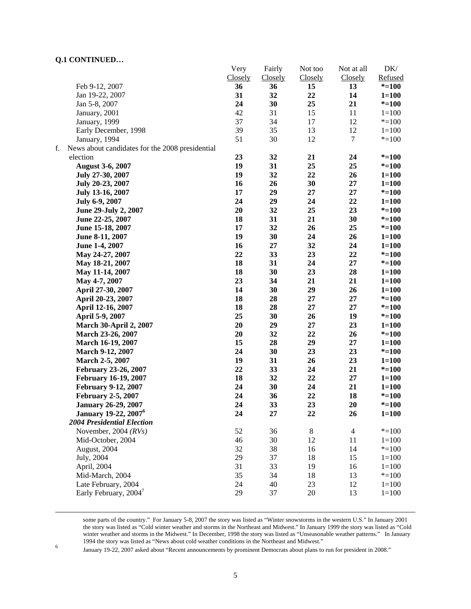|    |                                                 | Very    | Fairly  | Not too | Not at all     | DK/       |
|----|-------------------------------------------------|---------|---------|---------|----------------|-----------|
|    |                                                 | Closely | Closely | Closely | Closely        | Refused   |
|    | Feb 9-12, 2007                                  | 36      | 36      | 15      | 13             | $* = 100$ |
|    | Jan 19-22, 2007                                 | 31      | 32      | 22      | 14             | $1 = 100$ |
|    | Jan 5-8, 2007                                   | 24      | 30      | 25      | 21             | $* = 100$ |
|    | January, 2001                                   | 42      | 31      | 15      | 11             | $1=100$   |
|    | January, 1999                                   | 37      | 34      | 17      | 12             | $* = 100$ |
|    | Early December, 1998                            | 39      | 35      | 13      | 12             | $1 = 100$ |
|    | January, 1994                                   | 51      | 30      | 12      | 7              | $* = 100$ |
| f. | News about candidates for the 2008 presidential |         |         |         |                |           |
|    | election                                        | 23      | 32      | 21      | 24             | $* = 100$ |
|    | <b>August 3-6, 2007</b>                         | 19      | 31      | 25      | 25             | $* = 100$ |
|    | July 27-30, 2007                                | 19      | 32      | 22      | 26             | $1 = 100$ |
|    | July 20-23, 2007                                | 16      | 26      | 30      | 27             | $1 = 100$ |
|    | July 13-16, 2007                                | 17      | 29      | 27      | 27             | $* = 100$ |
|    | July 6-9, 2007                                  | 24      | 29      | 24      | 22             | $1 = 100$ |
|    | June 29-July 2, 2007                            | 20      | 32      | 25      | 23             | $* = 100$ |
|    | June 22-25, 2007                                | 18      | 31      | 21      | 30             | $* = 100$ |
|    | June 15-18, 2007                                | 17      | 32      | 26      | 25             | $* = 100$ |
|    | June 8-11, 2007                                 | 19      | 30      | 24      | 26             | $1 = 100$ |
|    | June 1-4, 2007                                  | 16      | 27      | 32      | 24             | $1 = 100$ |
|    | May 24-27, 2007                                 | 22      | 33      | 23      | 22             | $* = 100$ |
|    | May 18-21, 2007                                 | 18      | 31      | 24      | 27             | $* = 100$ |
|    | May 11-14, 2007                                 | 18      | 30      | 23      | 28             | $1 = 100$ |
|    | May 4-7, 2007                                   | 23      | 34      | 21      | 21             | $1 = 100$ |
|    | April 27-30, 2007                               | 14      | 30      | 29      | 26             | $1 = 100$ |
|    | April 20-23, 2007                               | 18      | 28      | 27      | 27             | $* = 100$ |
|    | April 12-16, 2007                               | 18      | 28      | 27      | 27             | $* = 100$ |
|    | April 5-9, 2007                                 | 25      | 30      | 26      | 19             | $* = 100$ |
|    | <b>March 30-April 2, 2007</b>                   | 20      | 29      | 27      | 23             | $1 = 100$ |
|    | March 23-26, 2007                               | 20      | 32      | 22      | 26             | $* = 100$ |
|    | March 16-19, 2007                               | 15      | 28      | 29      | 27             | $1 = 100$ |
|    | <b>March 9-12, 2007</b>                         | 24      | 30      | 23      | 23             | $* = 100$ |
|    | March 2-5, 2007                                 | 19      | 31      | 26      | 23             | $1 = 100$ |
|    | <b>February 23-26, 2007</b>                     | 22      | 33      | 24      | 21             | $* = 100$ |
|    | <b>February 16-19, 2007</b>                     | 18      | 32      | 22      | $27\,$         | $1 = 100$ |
|    | <b>February 9-12, 2007</b>                      | 24      | 30      | 24      | 21             | $1 = 100$ |
|    | <b>February 2-5, 2007</b>                       | 24      | 36      | 22      | 18             | $* = 100$ |
|    | <b>January 26-29, 2007</b>                      | 24      | 33      | 23      | 20             | $* = 100$ |
|    | <b>January 19-22, 2007</b> <sup>6</sup>         | 24      | 27      | 22      | 26             | $1 = 100$ |
|    | <b>2004 Presidential Election</b>               |         |         |         |                |           |
|    | November, 2004 $(RVs)$                          | 52      | 36      | $8\,$   | $\overline{4}$ | $* = 100$ |
|    | Mid-October, 2004                               | 46      | 30      | 12      | 11             | $1 = 100$ |
|    | August, 2004                                    | 32      | 38      | 16      | 14             | $* = 100$ |
|    | July, 2004                                      | 29      | 37      | 18      | 15             | $1 = 100$ |
|    | April, 2004                                     | 31      | 33      | 19      | 16             | $1 = 100$ |
|    | Mid-March, 2004                                 | 35      | 34      | 18      | 13             | $* = 100$ |
|    | Late February, 2004                             | 24      | 40      | 23      | 12             | $1 = 100$ |
|    | Early February, 2004 <sup>7</sup>               | 29      | 37      | 20      | 13             | $1 = 100$ |
|    |                                                 |         |         |         |                |           |

 some parts of the country." For January 5-8, 2007 the story was listed as "Winter snowstorms in the western U.S." In January 2001 the story was listed as "Cold winter weather and storms in the Northeast and Midwest." In January 1999 the story was listed as "Cold winter weather and storms in the Midwest." In December, 1998 the story was listed as "Unseasonable weather patterns." In January 1994 the story was listed as "News about cold weather conditions in the Northeast and Midwest."<br>
In the Northeast and Midwest. The story of the Santa Andrews and Midwest.

January 19-22, 2007 asked about "Recent announcements by prominent Democrats about plans to run for president in 2008."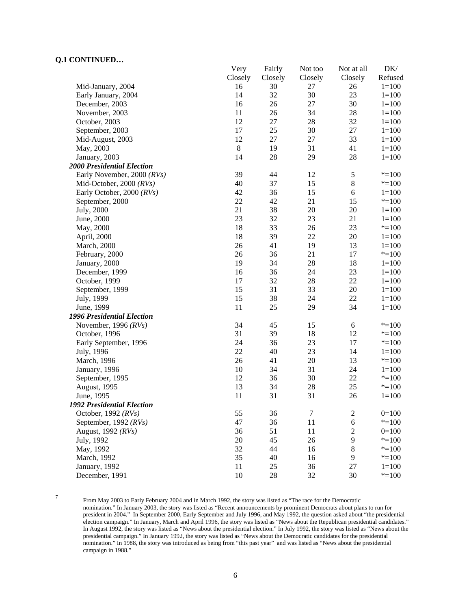|                                   | Very    | Fairly  | Not too | Not at all     | DK/       |
|-----------------------------------|---------|---------|---------|----------------|-----------|
|                                   | Closely | Closely | Closely | Closely        | Refused   |
| Mid-January, 2004                 | 16      | 30      | 27      | 26             | $1 = 100$ |
| Early January, 2004               | 14      | 32      | 30      | 23             | $1 = 100$ |
| December, 2003                    | 16      | 26      | 27      | 30             | $1 = 100$ |
| November, 2003                    | 11      | 26      | 34      | $28\,$         | $1 = 100$ |
| October, 2003                     | 12      | $27\,$  | 28      | 32             | $1 = 100$ |
| September, 2003                   | 17      | 25      | 30      | $27\,$         | $1 = 100$ |
| Mid-August, 2003                  | 12      | 27      | $27\,$  | 33             | $1 = 100$ |
| May, 2003                         | $\,8\,$ | 19      | 31      | 41             | $1 = 100$ |
| January, 2003                     | 14      | 28      | 29      | $28\,$         | $1 = 100$ |
| <b>2000 Presidential Election</b> |         |         |         |                |           |
| Early November, 2000 (RVs)        | 39      | 44      | 12      | $\mathfrak s$  | $* = 100$ |
| Mid-October, 2000 $(RVs)$         | 40      | 37      | 15      | $8\,$          | $* = 100$ |
| Early October, 2000 (RVs)         | 42      | 36      | 15      | 6              | $1 = 100$ |
| September, 2000                   | 22      | 42      | 21      | 15             | $* = 100$ |
| July, 2000                        | 21      | 38      | 20      | $20\,$         | $1 = 100$ |
| June, 2000                        | 23      | 32      | 23      | 21             | $1 = 100$ |
| May, 2000                         | 18      | 33      | 26      | 23             | $* = 100$ |
| April, 2000                       | 18      | 39      | 22      | 20             | $1 = 100$ |
| March, 2000                       | 26      | 41      | 19      | 13             | $1 = 100$ |
| February, 2000                    | 26      | 36      | 21      | 17             | $* = 100$ |
| January, 2000                     | 19      | 34      | 28      | 18             | $1 = 100$ |
| December, 1999                    | 16      | 36      | 24      | $23\,$         | $1 = 100$ |
| October, 1999                     | 17      | 32      | 28      | $22\,$         | $1 = 100$ |
| September, 1999                   | 15      | 31      | 33      | $20\,$         | $1 = 100$ |
| July, 1999                        | 15      | 38      | 24      | 22             | $1 = 100$ |
| June, 1999                        | 11      | 25      | 29      | 34             | $1 = 100$ |
| 1996 Presidential Election        |         |         |         |                |           |
| November, 1996 $(RVs)$            | 34      | 45      | 15      | 6              | $* = 100$ |
| October, 1996                     | 31      | 39      | 18      | 12             | $* = 100$ |
| Early September, 1996             | 24      | 36      | 23      | 17             | $* = 100$ |
| July, 1996                        | 22      | 40      | 23      | 14             | $1 = 100$ |
| March, 1996                       | 26      | 41      | 20      | 13             | $* = 100$ |
| January, 1996                     | 10      | 34      | 31      | 24             | $1 = 100$ |
| September, 1995                   | 12      | 36      | 30      | 22             | $* = 100$ |
| August, 1995                      | 13      | 34      | 28      | 25             | $* = 100$ |
| June, 1995                        | 11      | 31      | 31      | 26             | $1 = 100$ |
| <b>1992 Presidential Election</b> |         |         |         |                |           |
| October, 1992 (RVs)               | 55      | 36      | $\tau$  | $\mathbf{2}$   | $0=100$   |
| September, 1992 $(RVs)$           | 47      | 36      | 11      | 6              | $* = 100$ |
| August, 1992 (RVs)                | 36      | 51      | 11      | $\overline{2}$ | $0=100$   |
| July, 1992                        | 20      | 45      | 26      | 9              | $* = 100$ |
| May, 1992                         | 32      | 44      | 16      | $8\,$          | $* = 100$ |
| March, 1992                       | 35      | 40      | 16      | 9              | $* = 100$ |
| January, 1992                     | 11      | 25      | 36      | 27             | $1 = 100$ |
| December, 1991                    | 10      | 28      | 32      | 30             | $* = 100$ |

-<br>7

 From May 2003 to Early February 2004 and in March 1992, the story was listed as "The race for the Democratic nomination." In January 2003, the story was listed as "Recent announcements by prominent Democrats about plans to run for president in 2004." In September 2000, Early September and July 1996, and May 1992, the question asked about "the presidential election campaign." In January, March and April 1996, the story was listed as "News about the Republican presidential candidates." In August 1992, the story was listed as "News about the presidential election." In July 1992, the story was listed as "News about the presidential campaign." In January 1992, the story was listed as "News about the Democratic candidates for the presidential nomination." In 1988, the story was introduced as being from "this past year" and was listed as "News about the presidential campaign in 1988."